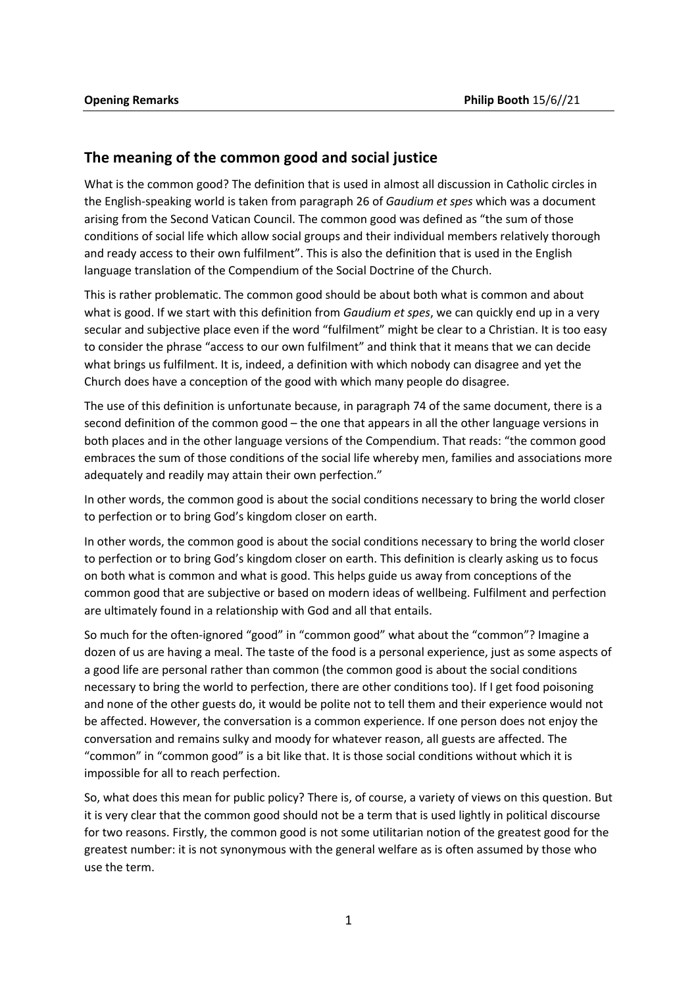## **The meaning of the common good and social justice**

What is the common good? The definition that is used in almost all discussion in Catholic circles in the English-speaking world is taken from paragraph 26 of *Gaudium et spes* which was a document arising from the Second Vatican Council. The common good was defined as "the sum of those conditions of social life which allow social groups and their individual members relatively thorough and ready access to their own fulfilment". This is also the definition that is used in the English language translation of the Compendium of the Social Doctrine of the Church.

This is rather problematic. The common good should be about both what is common and about what is good. If we start with this definition from *Gaudium et spes*, we can quickly end up in a very secular and subjective place even if the word "fulfilment" might be clear to a Christian. It is too easy to consider the phrase "access to our own fulfilment" and think that it means that we can decide what brings us fulfilment. It is, indeed, a definition with which nobody can disagree and yet the Church does have a conception of the good with which many people do disagree.

The use of this definition is unfortunate because, in paragraph 74 of the same document, there is a second definition of the common good – the one that appears in all the other language versions in both places and in the other language versions of the Compendium. That reads: "the common good embraces the sum of those conditions of the social life whereby men, families and associations more adequately and readily may attain their own perfection."

In other words, the common good is about the social conditions necessary to bring the world closer to perfection or to bring God's kingdom closer on earth.

In other words, the common good is about the social conditions necessary to bring the world closer to perfection or to bring God's kingdom closer on earth. This definition is clearly asking us to focus on both what is common and what is good. This helps guide us away from conceptions of the common good that are subjective or based on modern ideas of wellbeing. Fulfilment and perfection are ultimately found in a relationship with God and all that entails.

So much for the often-ignored "good" in "common good" what about the "common"? Imagine a dozen of us are having a meal. The taste of the food is a personal experience, just as some aspects of a good life are personal rather than common (the common good is about the social conditions necessary to bring the world to perfection, there are other conditions too). If I get food poisoning and none of the other guests do, it would be polite not to tell them and their experience would not be affected. However, the conversation is a common experience. If one person does not enjoy the conversation and remains sulky and moody for whatever reason, all guests are affected. The "common" in "common good" is a bit like that. It is those social conditions without which it is impossible for all to reach perfection.

So, what does this mean for public policy? There is, of course, a variety of views on this question. But it is very clear that the common good should not be a term that is used lightly in political discourse for two reasons. Firstly, the common good is not some utilitarian notion of the greatest good for the greatest number: it is not synonymous with the general welfare as is often assumed by those who use the term.